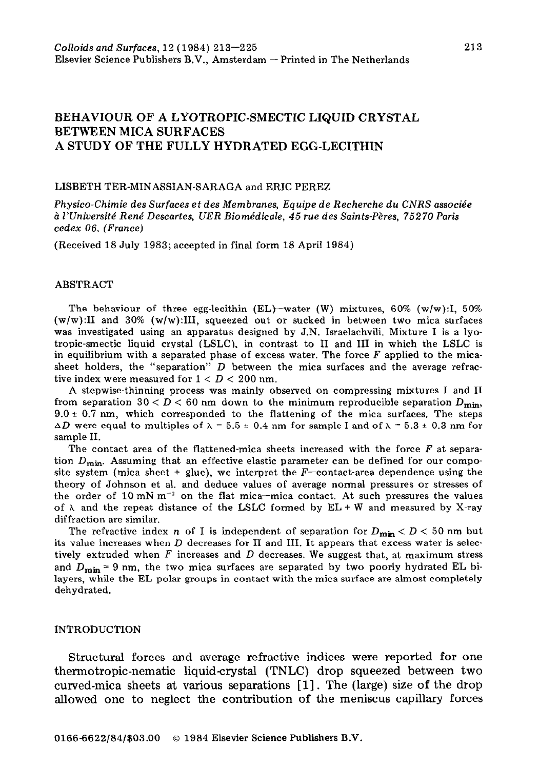# BEHAVIOUR OF A LYOTROPIC-SMECTIC LIQUID CRYSTAL BETWEEN MICA SURFACES A STUDY OF THE FULLY HYDRATED EGG-LECITHIN

#### LISBETH TER-MINASSIAN-SARAGA and ERIC PEREZ

*Physico-Chimie des Surfaces et des Membranes, Equipe de Recherche* **du** *CNRS associe'e ?I 1'Universitk Rene' Descartes, UER Biomkdicale, 45 rue des Saints-P&-es, 75270 Paris cedex 06, (France)* 

(Received 18 July 1983; accepted in final form 18 April 1984)

#### ABSTRACT

The behaviour of three egg-lecithin (EL)-water (W) mixtures,  $60\%$  (w/w):I,  $50\%$  $(w/w):$ II and 30%  $(w/w):$ III, squeezed out or sucked in between two mica surfaces was investigated using an apparatus designed by J.N. Israelachvili. Mixture I is a lyotropic-smectic liquid crystal (LSLC), in contrast to II and III in which the LSLC is in equilibrium with a separated phase of excess water. The force *F* applied to the micasheet holders, the "separation" *D* between the mica surfaces and the average refractive index were measured for  $1 < D < 200$  nm.

A stepwise-thinning process was mainly observed on compressing mixtures I and II from separation  $30 < D < 60$  nm down to the minimum reproducible separation  $D_{\text{min}}$ , *9.0 + 0.7* nm, which corresponded to the flattening of the mica surfaces. The steps  $\Delta D$  were equal to multiples of  $\lambda = 5.5 \pm 0.4$  nm for sample I and of  $\lambda = 5.3 \pm 0.3$  nm for sample II.

The contact area of the flattened-mica sheets increased with the force *F* at separation  $D_{\text{min}}$ . Assuming that an effective elastic parameter can be defined for our composite system (mica sheet + glue), we interpret the  $F$ -contact-area dependence using the theory of Johnson et al. and deduce values of average normal pressures or stresses of the order of 10 mN  $m^{-2}$  on the flat mica-mica contact. At such pressures the values of  $\lambda$  and the repeat distance of the LSLC formed by EL + W and measured by X-ray diffraction are similar.

The refractive index *n* of I is independent of separation for  $D_{\text{min}} < D < 50$  nm but its value increases when *D* decreases for II and III. It appears that excess water is selectively extruded when *F* increases and *D* decreases. We suggest that, at maximum stress and  $D_{\text{min}} = 9$  nm, the two mica surfaces are separated by two poorly hydrated EL bilayers, while the EL polar groups in contact with the mica surface are almost completely dehydrated.

#### INTRODUCTION

Structural forces and average refractive indices were reported for one thermotropic-nematic liquid-crystal (TNLC) drop squeezed between two curved-mica sheets at various separations [l] . The (large) size of the drop allowed one to neglect the contribution of the meniscus capillary forces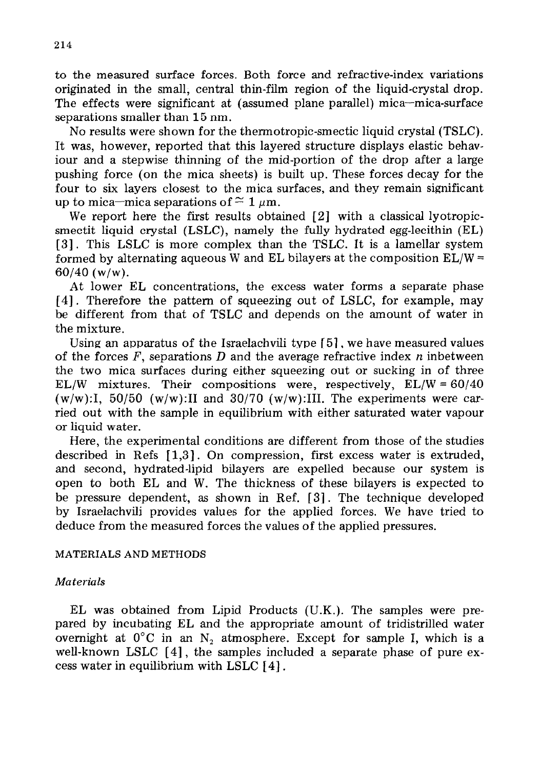to the measured surface forces. Both force and refractive-index variations originated in the small, central thin-film region of the liquid-crystal drop. The effects were significant at (assumed plane parallel) mica-mica-surface separations smaller than 15 nm.

No results were shown for the thermotropic-smectic liquid crystal (TSLC). It was, however, reported that this layered structure displays elastic behaviour and a stepwise thinning of the mid-portion of the drop after a large pushing force (on the mica sheets) is built up. These forces decay for the four to six layers closest to the mica surfaces, and they remain significant up to mica-mica separations of  $\approx 1 \mu m$ .

We report here the first results obtained [2] with a classical lyotropicsmectit liquid crystal (LSLC), namely the fully hydrated egg-lecithin (EL) [3]. This LSLC is more complex than the TSLC. It is a lamellar system formed by alternating aqueous W and EL bilayers at the composition  $EL/W =$  $60/40$  (w/w).

At lower EL concentrations, the excess water forms a separate phase [4] . Therefore the pattern of squeezing out of LSLC, for example, may be different from that of TSLC and depends on the amount of water in the mixture.

Using an apparatus of the Israelachvili type [ 51, *we* have measured values of the forces  $F$ , separations D and the average refractive index n inbetween the two mica surfaces during either squeezing out or sucking in of three EL/W mixtures. Their compositions were, respectively,  $EL/W = 60/40$  $(w/w):I$ , 50/50  $(w/w):I$  and 30/70  $(w/w):II$ . The experiments were carried out with the sample in equilibrium with either saturated water vapour or liquid water.

Here, the experimental conditions are different from those of the studies described in Refs [1,3]. On compression, first excess water is extruded, and second, hydrated-lipid bilayers are expelled because our system is open to both EL and W. The thickness of these bilayers is expected to be pressure dependent, as shown in Ref. [ 31. The technique developed by Israelachvili provides values for the applied forces. We have tried to deduce from the measured forces the values of the applied pressures.

## **MATERIALS AND METHODS**

## *Materials*

EL was obtained from Lipid Products (U.K.). The samples were prepared by incubating EL and the appropriate amount of tridistrilled water overnight at  $0^{\circ}$ C in an N<sub>2</sub> atmosphere. Except for sample I, which is a well-known LSLC [4], the samples included a separate phase of pure excess water in equilibrium with LSLC [4].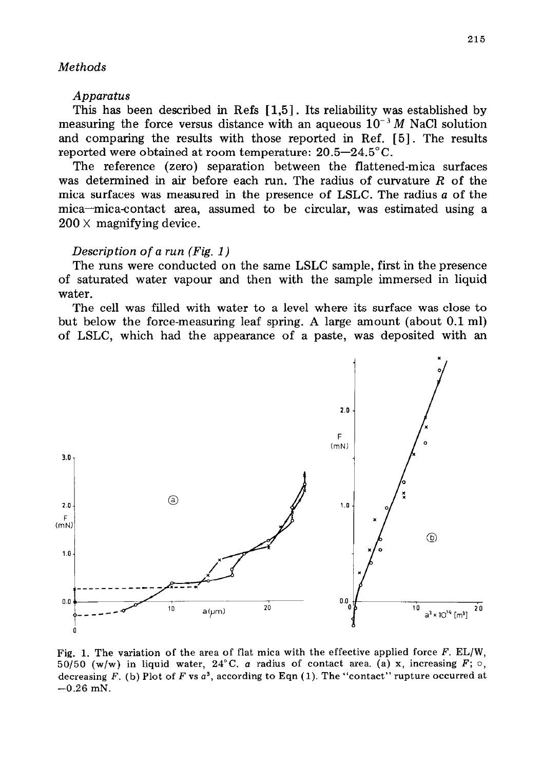# *Methods*

## *Apparatus*

This has been described in Refs [ 1,5]. Its reliability was established by measuring the force versus distance with an aqueous  $10^{-3}$  *M* NaCl solution and comparing the results with those reported in Ref. [ 51. The results reported were obtained at room temperature: 20.5-24.5"C.

The reference (zero) separation between the flattened-mica surfaces was determined in air before each run. The radius of curvature *R* of the mica surfaces was measured in the presence of LSLC. The radius *a* of the mica-mica-contact area, assumed to be circular, was estimated using a  $200 \times$  magnifying device.

## *Description of a run (Fig. 1)*

The runs were conducted on the same LSLC sample, first in the presence of saturated water vapour and then with the sample immersed in liquid water.

The cell was filled with water to a level where its surface was close to but below the force-measuring leaf spring. A large amount (about 0.1 ml) of LSLC, which had the appearance of a paste, was deposited with an



**Fig. 1. The variation of the area of flat mica with the effective applied force** *F.* **EL/W,**  50/50 (w/w) in liquid water,  $24^{\circ}$ C. *a* radius of contact area. (a) x, increasing  $F$ ;  $\circ$ , decreasing  $F$ . (b) Plot of  $F$  vs  $a^3$ , according to Eqn (1). The "contact" rupture occurred at **-0.26 mN.**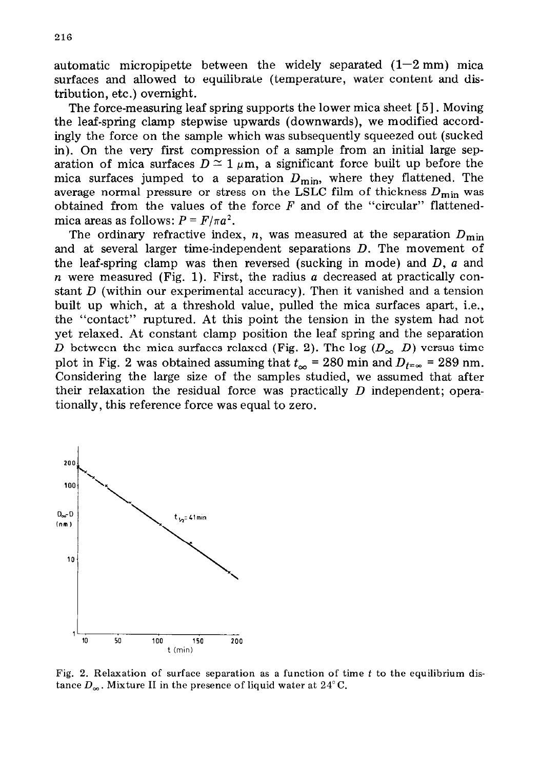automatic micropipette between the widely separated  $(1-2)$  mm mica surfaces and allowed to equilibrate (temperature, water content and distribution, etc.) overnight.

The force-measuring leaf spring supports the lower mica sheet [ 51. Moving the leaf-spring clamp stepwise upwards (downwards), we modified accordingly the force on the sample which was subsequently squeezed out (sucked in). On the very first compression of a sample from an initial large separation of mica surfaces  $D \cong 1 \mu m$ , a significant force built up before the mica surfaces jumped to a separation  $D_{\text{min}}$ , where they flattened. The average normal pressure or stress on the LSLC film of thickness  $D_{\text{min}}$  was obtained from the values of the force  $F$  and of the "circular" flattenedmica areas as follows:  $P = F/\pi a^2$ .

The ordinary refractive index, n, was measured at the separation  $D_{\min}$ and at several larger time-independent separations  $D$ . The movement of the leaf-spring clamp was then reversed (sucking in mode) and D, *a* and n were measured (Fig. 1). First, the radius *a* decreased at practically constant  $D$  (within our experimental accuracy). Then it vanished and a tension built up which, at a threshold value, pulled the mica surfaces apart, i.e., the "contact" ruptured. At this point the tension in the system had not yet relaxed. At constant clamp position the leaf spring and the separation D between the mica surfaces relaxed (Fig. 2). The log  $(D_{\infty}-D)$  versus time plot in Fig. 2 was obtained assuming that  $t_{\infty} = 280$  min and  $D_{t=\infty} = 289$  nm. Considering the large size of the samples studied, we assumed that **after**  their relaxation the residual force was practically *D* independent; operationally, this reference force was equal to zero.



**Fig. 2. Relaxation of surface separation as a function of time t to the equilibrium dis**tance  $D_{\infty}$ . Mixture II in the presence of liquid water at  $24^{\circ}$  C.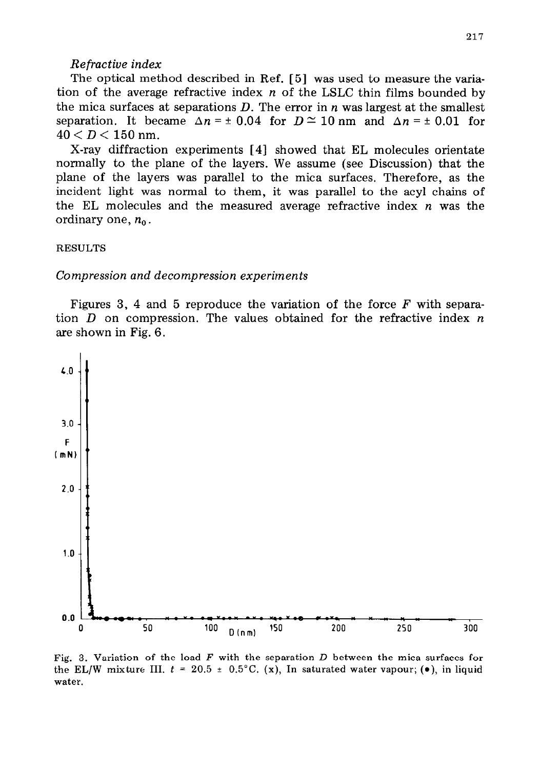## *Refractive index*

The optical method described in Ref. [5] was used to measure the variation of the average refractive index *n* of the LSLC thin films bounded by the mica surfaces at separations  $D$ . The error in  $n$  was largest at the smallest separation. It became  $\Delta n = \pm 0.04$  for  $D \approx 10$  nm and  $\Delta n = \pm 0.01$  for  $40 < D < 150$  nm.

X-ray diffraction experiments [4] showed that EL molecules orientate normally to the plane of the layers. We assume (see Discussion) that the plane of the layers was parallel to the mica surfaces. Therefore, as the incident light was normal to them, it was parallel to the acyl chains of the EL molecules and the measured average refractive index *n* was the ordinary one, *n, .* 

#### **RESULTS**

### *Compression and decompression experiments*

Figures 3, 4 and 5 reproduce the variation of the force *F* with separation D on compression. The values obtained for the refractive index *n are* shown in Fig. 6.



**Fig. 3. Variation of the load** *F* **with the separation** *D* **between the mica surfaces for**  the EL/W mixture III.  $t = 20.5 \pm 0.5^{\circ}$ C. (x), In saturated water vapour; ( $\bullet$ ), in liquid **water.**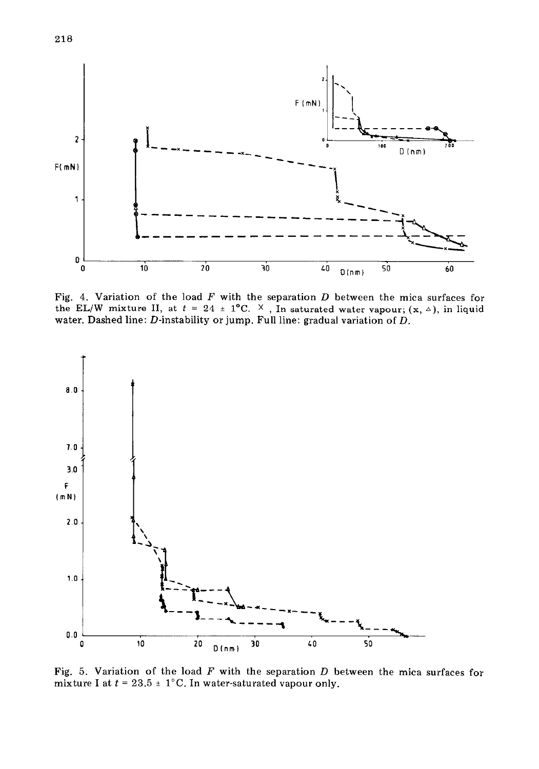

Fig. 4. Variation of the load *F* with the separation *D* between the mica surfaces for the EL/W mixture II, at  $t = 24 \pm 1^{\circ}\text{C}$ .  $\times$  , In saturated water vapour;  $(\textbf{x}, \triangle)$ , in liquid water. Dashed line: D-instability or jump. Full line: gradual variation of *D.* 



Fig. 5. Variation of the load *F* with the separation *D* between the mica surfaces for mixture I at  $t = 23.5 \pm 1$ °C. In water-saturated vapour only.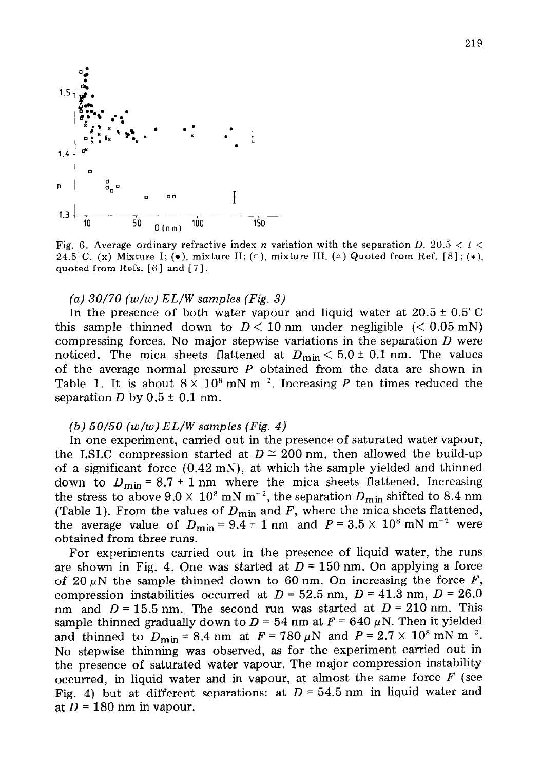

**Fig. 6. Average ordinary refractive index n variation with the separation** *D.* **20.5**  $\lt t$  $\lt$ 24.5°C. (x) Mixture I; ( $\bullet$ ), mixture II; ( $\circ$ ), mixture III. ( $\circ$ ) Quoted from Ref. [8]; (\*), **quoted from Refs. [ 61 and [ 7 1.** 

#### *(a) 30/70 (w/w) EL/W samples (Fig. 3)*

In the presence of both water vapour and liquid water at  $20.5 \pm 0.5^{\circ}$ C this sample thinned down to  $D < 10$  nm under negligible ( $< 0.05$  mN) compressing forces. No major stepwise variations in the separation  $D$  were noticed. The mica sheets flattened at  $D_{\text{min}} < 5.0 \pm 0.1$  nm. The values of the average normal pressure *P* obtained from the data are shown in Table 1. It is about  $8 \times 10^8$  mN m<sup>-2</sup>. Increasing P ten times reduced the separation D by  $0.5 \pm 0.1$  nm.

#### *(b)* 50/50 (w/w) *EL/W samples (Fig. 4)*

In one experiment, carried out in the presence of saturated water vapour, the LSLC compression started at  $D \cong 200$  nm, then allowed the build-up of a significant force (0.42 mN), at which the sample yielded and thinned down to  $D_{\text{min}} = 8.7 \pm 1$  nm where the mica sheets flattened. Increasing the stress to above  $9.0 \times 10^8$  mN m<sup>-2</sup>, the separation  $D_{\text{min}}$  shifted to 8.4 nm (Table 1). From the values of  $D_{\min}$  and *F*, where the mica sheets flattened, the average value of  $D_{\text{min}} = 9.4 \pm 1$  nm and  $P = 3.5 \times 10^8$  mN m<sup>-2</sup> were obtained from three runs.

For experiments carried out in the presence of liquid water, the runs are shown in Fig. 4. One was started at  $D = 150$  nm. On applying a force of 20  $\mu$ N the sample thinned down to 60 nm. On increasing the force *F*, compression instabilities occurred at  $D = 52.5$  nm,  $D = 41.3$  nm,  $D = 26.0$ nm and  $D = 15.5$  nm. The second run was started at  $D = 210$  nm. This sample thinned gradually down to  $D = 54$  nm at  $F = 640 \mu N$ . Then it yielded and thinned to  $D_{\text{min}} = 8.4$  nm at  $F = 780 \,\mu\text{N}$  and  $P = 2.7 \times 10^8 \,\text{mN m}^{-2}$ . *No* stepwise thinning was observed, as for the experiment carried out in the presence of saturated water vapour. The major compression instability occurred, in liquid water and in vapour, at almost the same force *F (see*  Fig. 4) but at different separations: at  $D = 54.5$  nm in liquid water and at  $D = 180$  nm in vapour.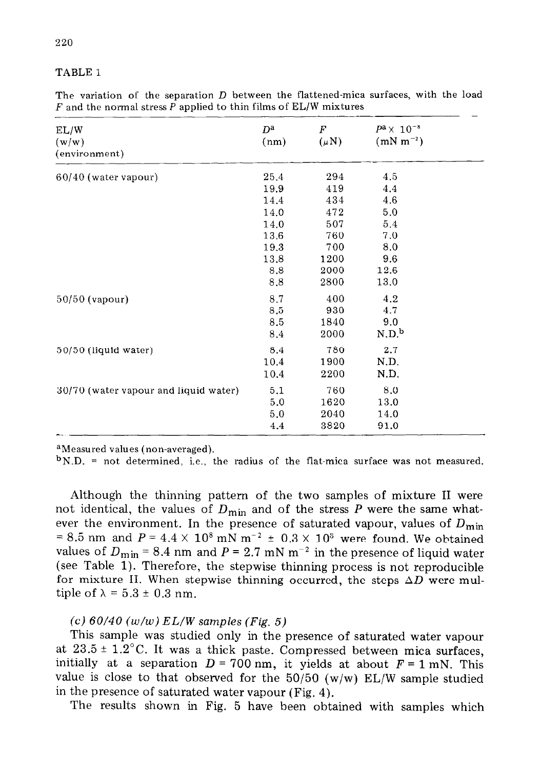| г |  |
|---|--|
|   |  |

| EL/W<br>(w/w)<br>(environment)        | $D^{\mathbf{a}}$<br>(nm) | $\boldsymbol{F}$<br>$(\mu N)$ | $P^{a} \times 10^{-8}$<br>$(mN m^{-2})$ |  |
|---------------------------------------|--------------------------|-------------------------------|-----------------------------------------|--|
| 60/40 (water vapour)                  | 25.4                     | 294                           | 4.5                                     |  |
|                                       | 19.9                     | 419                           | 4.4                                     |  |
|                                       | 14.4                     | 434                           | 4.6                                     |  |
|                                       | 14.0                     | 472                           | 5.0                                     |  |
|                                       | 14.0                     | 507                           | 5.4                                     |  |
|                                       | 13.6                     | 760                           | 7.0                                     |  |
|                                       | 19.3                     | 700                           | 8.0                                     |  |
|                                       | 13.8                     | 1200                          | 9.6                                     |  |
|                                       | 8.8                      | 2000                          | 12.6                                    |  |
|                                       | 8.8                      | 2800                          | 13.0                                    |  |
| $50/50$ (vapour)                      | 8.7                      | 400                           | 4.2                                     |  |
|                                       | 8.5                      | 930                           | 4.7                                     |  |
|                                       | 8,5                      | 1840                          | 9.0                                     |  |
|                                       | 8.4                      | 2000                          | N.D. <sup>b</sup>                       |  |
| 50/50 (liquid water)                  | 8.4                      | 780                           | 2.7                                     |  |
|                                       | 10.4                     | 1900                          | N.D.                                    |  |
|                                       | 10.4                     | 2200                          | N.D.                                    |  |
| 30/70 (water vapour and liquid water) | 5.1                      | 760                           | 8,0                                     |  |
|                                       | 5.0                      | 1620                          | 13.0                                    |  |
|                                       | 5.0                      | 2040                          | 14.0                                    |  |
|                                       | 4.4                      | 3820                          | 91.0                                    |  |

The variation of the separation *D* between the flattened-mica surfaces, with the load  $F$  and the normal stress  $P$  applied to thin films of  $EL/W$  mixtures

aMeasured values (non-averaged).

 ${}^{b}N.D.$  = not determined, i.e., the radius of the flat-mica surface was not measured.

Although the thinning pattern of the two samples of mixture II were not identical, the values of  $D_{\text{min}}$  and of the stress *P* were the same whatever the environment. In the presence of saturated vapour, values of  $D_{\text{min}}$  $= 8.5$  nm and  $P = 4.4 \times 10^8$  mN m<sup>-2</sup>  $\pm$  0.3  $\times$  10<sup>8</sup> were found. We obtained values of  $D_{\text{min}} = 8.4$  nm and  $P = 2.7$  mN m<sup>-2</sup> in the presence of liquid water (see Table 1). Therefore, the stepwise thinning process is not reproducible for mixture II. When stepwise thinning occurred, the steps  $\Delta D$  were multiple of  $\lambda = 5.3 \pm 0.3$  nm.

# (c) 60/40 (w/w) *EL/W samples (Fig. 5)*

This sample was studied only in the presence of saturated water vapour at  $23.5 \pm 1.2^{\circ}$ C. It was a thick paste. Compressed between mica surfaces, initially at a separation  $D = 700$  nm, it yields at about  $F = 1$  mN. This value is close to that observed for the  $50/50$  (w/w) EL/W sample studied in the presence of saturated water vapour (Fig. 4).

The results shown in Fig. 5 have been obtained with samples which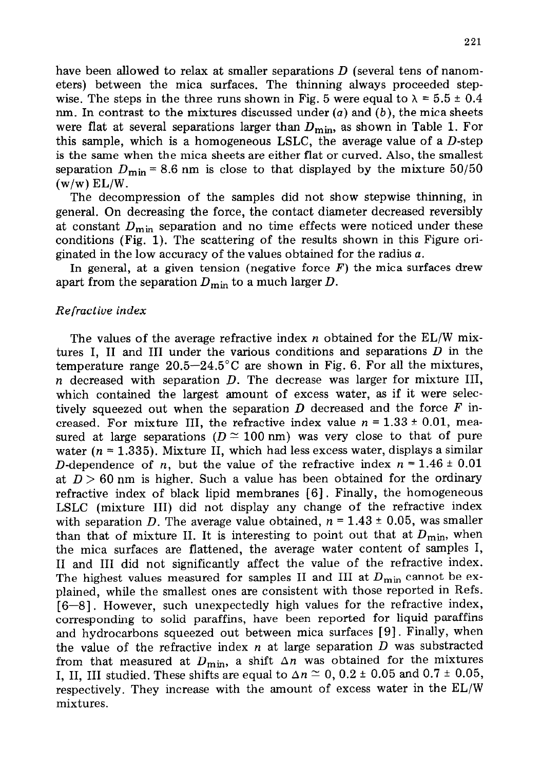have been allowed to relax at smaller separations  $D$  (several tens of nanometers) between the mica surfaces. The thinning always proceeded stepwise. The steps in the three runs shown in Fig. 5 were equal to  $\lambda = 5.5 \pm 0.4$ nm. In contrast to the mixtures discussed under  $(a)$  and  $(b)$ , the mica sheets were flat at several separations larger than  $D_{\text{min}}$ , as shown in Table 1. For this sample, which is a homogeneous LSLC, the average value of a  $D$ -step is the same when the mica sheets are either flat or curved. Also, the smallest separation  $D_{\text{min}} = 8.6$  nm is close to that displayed by the mixture 50/50  $(w/w)$  EL/W.

The decompression of the samples did not show stepwise thinning, in general. On decreasing the force, the contact diameter decreased reversibly at constant  $D_{\min}$  separation and no time effects were noticed under these conditions (Fig. 1). The scattering of the results shown in this Figure originated in the low accuracy of the values obtained for the radius a.

In general, at a given tension (negative force  $F$ ) the mica surfaces drew apart from the separation  $D_{\min}$  to a much larger D.

## *Refractive index*

The values of the average refractive index  $n$  obtained for the EL/W mixtures I, II and III under the various conditions and separations  $D$  in the temperature range  $20.5-24.5^{\circ}$ C are shown in Fig. 6. For all the mixtures, *n* decreased with separation D. The decrease was larger for mixture III, which contained the largest amount of excess water, as if it were selectively squeezed out when the separation  $D$  decreased and the force  $F$  increased. For mixture III, the refractive index value  $n = 1.33 \pm 0.01$ , measured at large separations ( $D \approx 100$  nm) was very close to that of pure water ( $n = 1.335$ ). Mixture II, which had less excess water, displays a similar D-dependence of *n*, but the value of the refractive index  $n = 1.46 \pm 0.01$ at  $D > 60$  nm is higher. Such a value has been obtained for the ordinary refractive index of black lipid membranes [6]. Finally, the homogeneous LSLC (mixture III) did not display any change of the refractive index with separation D. The average value obtained,  $n = 1.43 \pm 0.05$ , was smaller than that of mixture II. It is interesting to point out that at  $D_{\text{min}}$ , when the mica surfaces are flattened, the average water content of samples I, II and III did not significantly affect the value of the refractive index. The highest values measured for samples II and III at  $D_{\text{min}}$  cannot be explained, while the smallest ones are consistent with those reported in Refs. [6-S]. However, such unexpectedly high values for the refractive index, corresponding to solid paraffins, have been reported for liquid paraffins and hydrocarbons squeezed out between mica surfaces [9]. Finally, when the value of the refractive index  $n$  at large separation  $D$  was substracted from that measured at  $D_{\text{min}}$ , a shift  $\Delta n$  was obtained for the mixtures I, II, III studied. These shifts are equal to  $\Delta n \simeq 0, 0.2 \pm 0.05$  and  $0.7 \pm 0.05$ , respectively. They increase with the amount of excess water in the EL/W mixtures.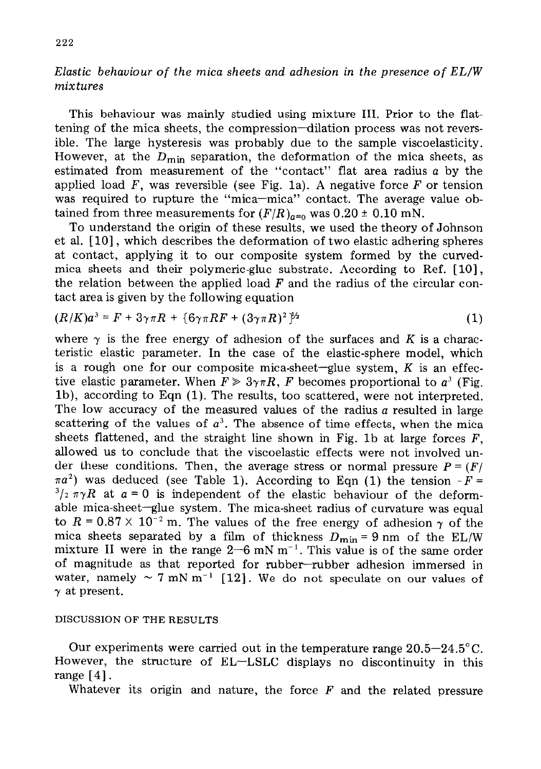# *Elastic behaviour of the mica sheets and adhesion in the presence of EL/W mixtures*

This behaviour was mainly studied using mixture III. Prior to the flattening of the mica sheets, the compression-dilation process was not reversible. The large hysteresis was probably due to the sample viscoelasticity. However, at the  $D_{\text{min}}$  separation, the deformation of the mica sheets, as estimated from measurement of the "contact" flat area radius *a* by the applied load  $F$ , was reversible (see Fig. 1a). A negative force  $F$  or tension was required to rupture the "mica-mica" contact. The average value obtained from three measurements for  $(F/R)_{a=0}$  was  $0.20 \pm 0.10$  mN.

To understand the origin of these results, we used the theory of Johnson et al.  $[10]$ , which describes the deformation of two elastic adhering spheres at contact, applying it to our composite system formed by the curvedmica sheets and their polymeric-glue substrate. According to Ref. [ 101, the relation between the applied load *F* and the radius of the circular contact area is given by the following equation

$$
(R/K)a^{3} = F + 3\gamma \pi R + \{6\gamma \pi RF + (3\gamma \pi R)^{2}\}^{4}
$$
 (1)

where  $\gamma$  is the free energy of adhesion of the surfaces and K is a characteristic elastic parameter. In the case of the elastic-sphere model, which is a rough one for our composite mica-sheet-glue system,  $K$  is an effective elastic parameter. When  $F \geq 3\gamma \pi R$ , F becomes proportional to  $a^3$  (Fig. lb), according to Eqn (1). The results, too scattered, were not interpreted. The low accuracy of the measured values of the radius *a* resulted in large scattering of the values of  $a^3$ . The absence of time effects, when the mica sheets flattened, and the straight line shown in Fig. lb at large forces *F,*  allowed us to conclude that the viscoelastic effects were not involved under these conditions. Then, the average stress or normal pressure  $P = (F/$  $\pi a^2$ ) was deduced (see Table 1). According to Eqn (1) the tension  $-F =$  $3/2 \pi \gamma R$  at  $a = 0$  is independent of the elastic behaviour of the deformable mica-sheet-glue system. The mica-sheet radius of curvature was equal to  $R = 0.87 \times 10^{-2}$  m. The values of the free energy of adhesion  $\gamma$  of the mica sheets separated by a film of thickness  $D_{\text{min}} = 9$  nm of the EL/W mixture II were in the range  $2-6$  mN m<sup>-1</sup>. This value is of the same order of magnitude as that reported for rubber-rubber adhesion immersed in water, namely  $\sim 7$  mN m<sup>-1</sup> [12]. We do not speculate on our values of  $\gamma$  at present.

# **DISCUSSION OF THE RESULTS**

Our experiments were carried out in the temperature range  $20.5-24.5^{\circ}$ C. However, the structure of EL-LSLC displays no discontinuity in this range  $[4]$ .

Whatever its origin and nature, the force *F* and the related pressure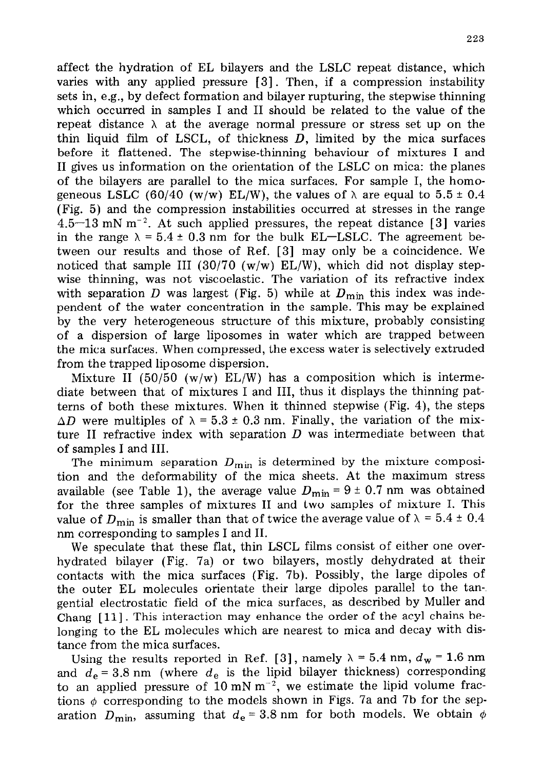affect the hydration of EL bilayers and the LSLC repeat distance, which varies with any applied pressure [3] . Then, if a compression instability sets in, e.g., by defect formation and bilayer rupturing, the stepwise thinning which occurred in samples I and II should be related to the value of the repeat distance  $\lambda$  at the average normal pressure or stress set up on the thin liquid film of LSCL, of thickness  $D$ , limited by the mica surfaces before it flattened. The stepwise-thinning behaviour of mixtures I and II gives us information on the orientation of the LSLC on mica: the planes of the bilayers are parallel to the mica surfaces. For sample I, the homogeneous LSLC (60/40 (w/w) EL/W), the values of  $\lambda$  are equal to 5.5  $\pm$  0.4 (Fig. 5) and the compression instabilities occurred at stresses in the range  $4.5-13$  mN m<sup>-2</sup>. At such applied pressures, the repeat distance [3] varies in the range  $\lambda = 5.4 \pm 0.3$  nm for the bulk EL-LSLC. The agreement between our results and those of Ref. [3] may only be a coincidence. We noticed that sample III (30/70 (w/w)  $EL/W$ ), which did not display stepwise thinning, was not viscoelastic. The variation of its refractive index with separation D was largest (Fig. 5) while at  $D_{\text{min}}$  this index was independent of the water concentration in the sample. This may be explained by the very heterogeneous structure of this mixture, probably consisting of a dispersion of large liposomes in water which are trapped between the mica surfaces. When compressed, the excess water is selectively extruded from the trapped liposome dispersion.

Mixture II (50/50 (w/w)  $EL/W$ ) has a composition which is intermediate between that of mixtures I and III, thus it displays the thinning patterns of both these mixtures. When it thinned stepwise (Fig. 4), the steps  $\Delta D$  were multiples of  $\lambda = 5.3 \pm 0.3$  nm. Finally, the variation of the mixture II refractive index with separation  $D$  was intermediate between that of samples I and III.

The minimum separation  $D_{\min}$  is determined by the mixture composition and the deformability of the mica sheets. At the maximum stress available (see Table 1), the average value  $D_{\text{min}} = 9 \pm 0.7$  nm was obtained for the three samples of mixtures II and two samples of mixture I. This value of  $D_{\text{min}}$  is smaller than that of twice the average value of  $\lambda = 5.4 \pm 0.4$ nm corresponding to samples I and II.

We speculate that these flat, thin LSCL films consist of either one overhydrated bilayer (Fig. 7a) or two bilayers, mostly dehydrated at their contacts with the mica surfaces (Fig. 7b). Possibly, the large dipoles of the outer EL molecules orientate their large dipoles parallel to the tangential electrostatic field of the mica surfaces, as described by Muller and Chang [11]. This interaction may enhance the order of the acyl chains belonging to the EL molecules which are nearest to mica and decay with distance from the mica surfaces.

Using the results reported in Ref. [3], namely  $\lambda = 5.4$  nm,  $d_w = 1.6$  nm and  $d_e = 3.8$  nm (where  $d_e$  is the lipid bilayer thickness) corresponding to an applied pressure of  $10 \text{ mN m}^{-2}$ , we estimate the lipid volume fractions  $\phi$  corresponding to the models shown in Figs. 7a and 7b for the separation  $D_{\text{min}}$ , assuming that  $d_e = 3.8$  nm for both models. We obtain  $\phi$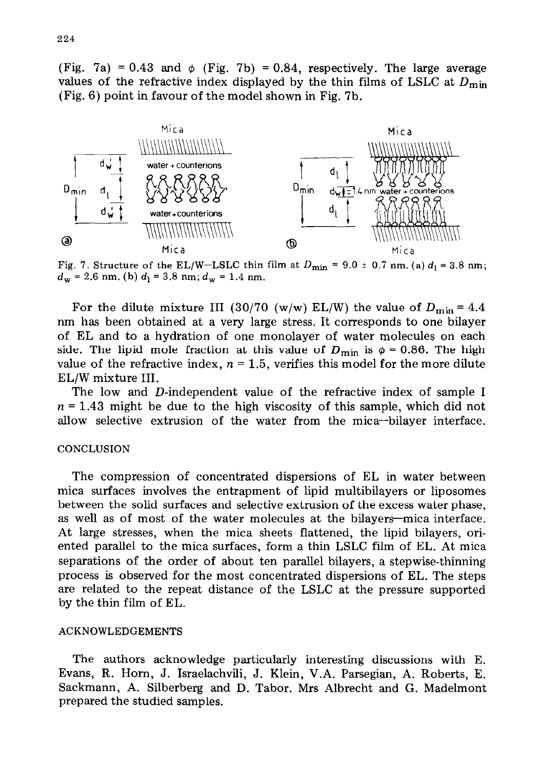(Fig. 7a) = 0.43 and  $\phi$  (Fig. 7b) = 0.84, respectively. The large average values of the refractive index displayed by the thin films of LSLC at  $D_{\text{min}}$ (Fig. 6) point in favour of the model shown in Fig. 7b.



Fig. 7. Structure of the EL/W-LSLC thin film at  $D_{\text{min}} = 9.0 \pm 0.7$  nm. (a)  $d_1 = 3.8$  nm;  $d_w = 2.6$  nm. (b)  $d_1 = 3.8$  nm;  $d_w = 1.4$  nm.

For the dilute mixture III (30/70 (w/w) EL/W) the value of  $D_{\text{min}} = 4.4$ nm has been obtained at a very large stress. It corresponds to one bilayer of EL and to a hydration of one monolayer of water molecules on each side. The lipid mole fraction at this value of  $D_{\text{min}}$  is  $\phi = 0.86$ . The high value of the refractive index,  $n = 1.5$ , verifies this model for the more dilute EL/W mixture III.

The low and D-independent value of the refractive index of sample I  $n = 1.43$  might be due to the high viscosity of this sample, which did not allow selective extrusion of the water from the mica-bilayer interface.

#### **CONCLUSION**

The compression of concentrated dispersions of EL in water between mica surfaces involves the entrapment of lipid multibilayers or liposomes between the solid surfaces and selective extrusion of the excess water phase, as well as of most of the water molecules at the bilayers-mica interface. At large stresses, when the mica sheets flattened, the lipid bilayers, oriented parallel to the mica surfaces, form a thin LSLC film of EL. At mica separations of the order of about ten parallel bilayers, a stepwise-thinning process is observed for the most concentrated dispersions of EL. The steps are related to the repeat distance of the LSLC at the pressure supported by the thin film of EL.

#### ACKNOWLEDGEMENTS

The authors acknowledge particularly interesting discussions with E. Evans, R. Horn, J. Israelachvili, J. Klein, V.A. Parsegian, A. Roberts, E. Sackmann, A. Silberberg and D. Tabor. Mrs Albrecht and G. Madelmont prepared the studied samples.